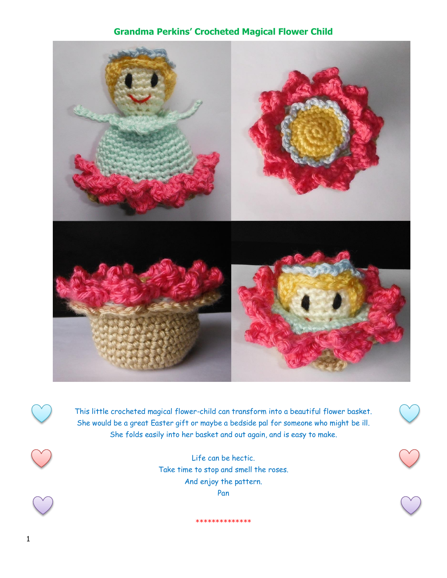# **Grandma Perkins' Crocheted Magical Flower Child**



This little crocheted magical flower-child can transform into a beautiful flower basket. She would be a great Easter gift or maybe a bedside pal for someone who might be ill. She folds easily into her basket and out again, and is easy to make.

> Life can be hectic. Take time to stop and smell the roses. And enjoy the pattern. Pan

> > \*\*\*\*\*\*\*\*\*\*\*\*\*\*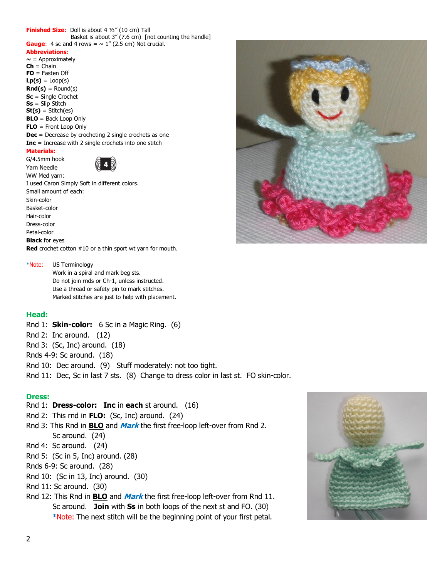#### **Finished Size**: Doll is about 4 ½" (10 cm) Tall Basket is about 3" (7.6 cm) [not counting the handle] **Gauge:** 4 sc and 4 rows =  $\sim 1$ " (2.5 cm) Not crucial.

#### **Abbreviations:**

 $\sim$  = Approximately **Ch** = Chain **FO** = Fasten Off  $Lp(s) = Loop(s)$  $Rnd(s) =$  Round(s) **Sc** = Single Crochet **Ss** = Slip Stitch **St(s)** = Stitch(es) **BLO** = Back Loop Only **FLO** = Front Loop Only **Dec** = Decrease by crocheting 2 single crochets as one **Inc** = Increase with 2 single crochets into one stitch **Materials:**

G/4.5mm hook Yarn Needle WW Med yarn:



I used Caron Simply Soft in different colors. Small amount of each: Skin-color Basket-color Hair-color Dress-color Petal-color **Black** for eyes **Red** crochet cotton #10 or a thin sport wt yarn for mouth.

#### \*Note: US Terminology

Work in a spiral and mark beg sts. Do not join rnds or Ch-1, unless instructed. Use a thread or safety pin to mark stitches. Marked stitches are just to help with placement.

### **Head:**

- Rnd 1: **Skin-color:** 6 Sc in a Magic Ring. (6)
- Rnd 2: Inc around. (12)
- Rnd 3: (Sc, Inc) around. (18)
- Rnds 4-9: Sc around. (18)
- Rnd 10: Dec around. (9) Stuff moderately: not too tight.

Rnd 11: Dec, Sc in last 7 sts. (8) Change to dress color in last st. FO skin-color.

#### **Dress:**

- Rnd 1: **Dress-color: Inc** in **each** st around. (16)
- Rnd 2: This rnd in **FLO:** (Sc, Inc) around. (24)
- Rnd 3: This Rnd in **BLO** and **Mark** the first free-loop left-over from Rnd 2. Sc around. (24)
- Rnd 4: Sc around. (24)
- Rnd 5: (Sc in 5, Inc) around. (28)
- Rnds 6-9: Sc around. (28)
- Rnd 10: (Sc in 13, Inc) around. (30)
- Rnd 11: Sc around. (30)
- Rnd 12: This Rnd in **BLO** and **Mark** the first free-loop left-over from Rnd 11. Sc around. **Join** with **Ss** in both loops of the next st and FO. (30) \*Note: The next stitch will be the beginning point of your first petal.



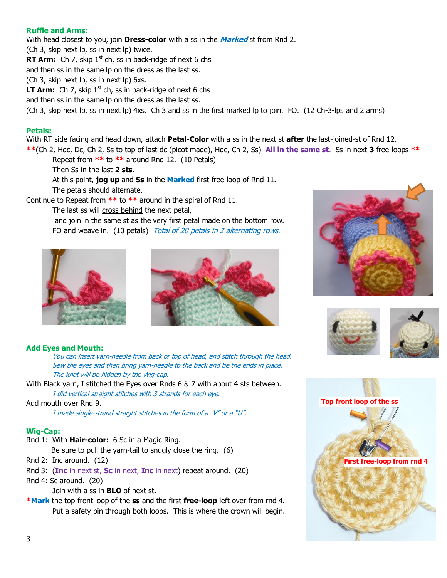### **Ruffle and Arms:**

With head closest to you, join **Dress-color** with a ss in the **Marked** st from Rnd 2.

(Ch 3, skip next lp, ss in next lp) twice.

**RT Arm:** Ch 7, skip  $1<sup>st</sup>$  ch, ss in back-ridge of next 6 chs

and then ss in the same lp on the dress as the last ss.

(Ch 3, skip next lp, ss in next lp) 6xs.

**LT Arm:** Ch 7, skip  $1<sup>st</sup>$  ch, ss in back-ridge of next 6 chs

and then ss in the same lp on the dress as the last ss.

(Ch 3, skip next lp, ss in next lp) 4xs. Ch 3 and ss in the first marked lp to join. FO. (12 Ch-3-lps and 2 arms)

### **Petals:**

With RT side facing and head down, attach **Petal-Color** with a ss in the next st **after** the last-joined-st of Rnd 12.

**\*\***(Ch 2, Hdc, Dc, Ch 2, Ss to top of last dc (picot made), Hdc, Ch 2, Ss) **All in the same st**. Ss in next **3** free-loops **\*\***

Repeat from **\*\*** to **\*\*** around Rnd 12. (10 Petals)

Then Ss in the last **2 sts.**

At this point, **jog up** and **Ss** in the **Marked** first free-loop of Rnd 11. The petals should alternate.

Continue to Repeat from **\*\*** to **\*\*** around in the spiral of Rnd 11.

The last ss will cross behind the next petal,

and join in the same st as the very first petal made on the bottom row. FO and weave in. (10 petals) Total of 20 petals in 2 alternating rows.





### **Add Eyes and Mouth:**

You can insert yarn-needle from back or top of head, and stitch through the head. Sew the eyes and then bring yarn-needle to the back and tie the ends in place. The knot will be hidden by the Wig-cap.

With Black yarn, I stitched the Eyes over Rnds 6 & 7 with about 4 sts between. I did vertical straight stitches with 3 strands for each eye.

#### Add mouth over Rnd 9.

I made single-strand straight stitches in the form of a "V" or a "U".

#### **Wig-Cap:**

Rnd 1: With **Hair-color:** 6 Sc in a Magic Ring.

Be sure to pull the yarn-tail to snugly close the ring. (6)

- Rnd 2: Inc around. (12)
- Rnd 3: (**Inc** in next st, **Sc** in next, **Inc** in next) repeat around. (20)
- Rnd 4: Sc around. (20)

Join with a ss in **BLO** of next st.

**\*Mark** the top-front loop of the **ss** and the first **free-loop** left over from rnd 4. Put a safety pin through both loops. This is where the crown will begin.





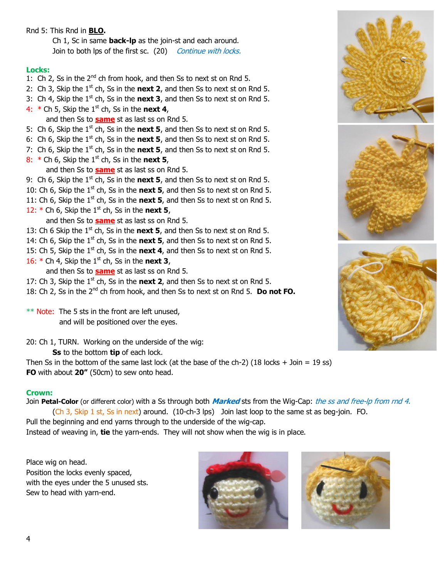## Rnd 5: This Rnd in **BLO.**

Ch 1, Sc in same **back-lp** as the join-st and each around. Join to both lps of the first sc. (20) Continue with locks.

### **Locks:**

- 1: Ch 2, Ss in the  $2^{nd}$  ch from hook, and then Ss to next st on Rnd 5.
- 2: Ch 3, Skip the  $1<sup>st</sup>$  ch, Ss in the **next 2**, and then Ss to next st on Rnd 5.
- 3: Ch 4, Skip the  $1<sup>st</sup>$  ch, Ss in the **next 3**, and then Ss to next st on Rnd 5.
- 4:  $*$  Ch 5, Skip the 1<sup>st</sup> ch, Ss in the **next 4**, and then Ss to **same** st as last ss on Rnd 5.
- 5: Ch 6, Skip the 1<sup>st</sup> ch, Ss in the **next 5**, and then Ss to next st on Rnd 5.
- 6: Ch 6, Skip the  $1^{st}$  ch, Ss in the **next 5**, and then Ss to next st on Rnd 5.
- 7: Ch 6, Skip the  $1<sup>st</sup>$  ch, Ss in the **next 5**, and then Ss to next st on Rnd 5.
- 8:  $*$  Ch 6, Skip the 1<sup>st</sup> ch, Ss in the **next 5**, and then Ss to **same** st as last ss on Rnd 5.
- 9: Ch 6, Skip the 1<sup>st</sup> ch, Ss in the **next 5**, and then Ss to next st on Rnd 5.
- 10: Ch 6, Skip the 1<sup>st</sup> ch, Ss in the **next 5**, and then Ss to next st on Rnd 5.
- 11: Ch 6, Skip the 1<sup>st</sup> ch, Ss in the **next 5**, and then Ss to next st on Rnd 5.
- 12:  $*$  Ch 6, Skip the 1<sup>st</sup> ch, Ss in the **next 5**,

and then Ss to **same** st as last ss on Rnd 5.

13: Ch 6 Skip the  $1<sup>st</sup>$  ch, Ss in the **next 5**, and then Ss to next st on Rnd 5.

- 14: Ch 6, Skip the  $1^{st}$  ch, Ss in the **next 5**, and then Ss to next st on Rnd 5.
- 15: Ch 5, Skip the  $1^{st}$  ch, Ss in the **next 4**, and then Ss to next st on Rnd 5.
- 16:  $*$  Ch 4, Skip the 1<sup>st</sup> ch, Ss in the **next 3**,

and then Ss to **same** st as last ss on Rnd 5.

- 17: Ch 3, Skip the  $1^{st}$  ch, Ss in the **next 2**, and then Ss to next st on Rnd 5.
- 18: Ch 2, Ss in the 2<sup>nd</sup> ch from hook, and then Ss to next st on Rnd 5. **Do not FO.**

 $**$  Note: The 5 sts in the front are left unused, and will be positioned over the eyes.

20: Ch 1, TURN. Working on the underside of the wig:

**Ss** to the bottom **tip** of each lock.

Then Ss in the bottom of the same last lock (at the base of the ch-2) (18 locks + Join = 19 ss) **FO** with about **20"** (50cm) to sew onto head.

### **Crown:**

Join **Petal-Color** (or different color) with a Ss through both **Marked** sts from the Wig-Cap: the ss and free-lp from rnd 4. (Ch 3, Skip 1 st, Ss in next) around. (10-ch-3 lps) Join last loop to the same st as beg-join. FO.

Pull the beginning and end yarns through to the underside of the wig-cap. Instead of weaving in, **tie** the yarn-ends. They will not show when the wig is in place.

Place wig on head. Position the locks evenly spaced, with the eyes under the 5 unused sts. Sew to head with yarn-end.